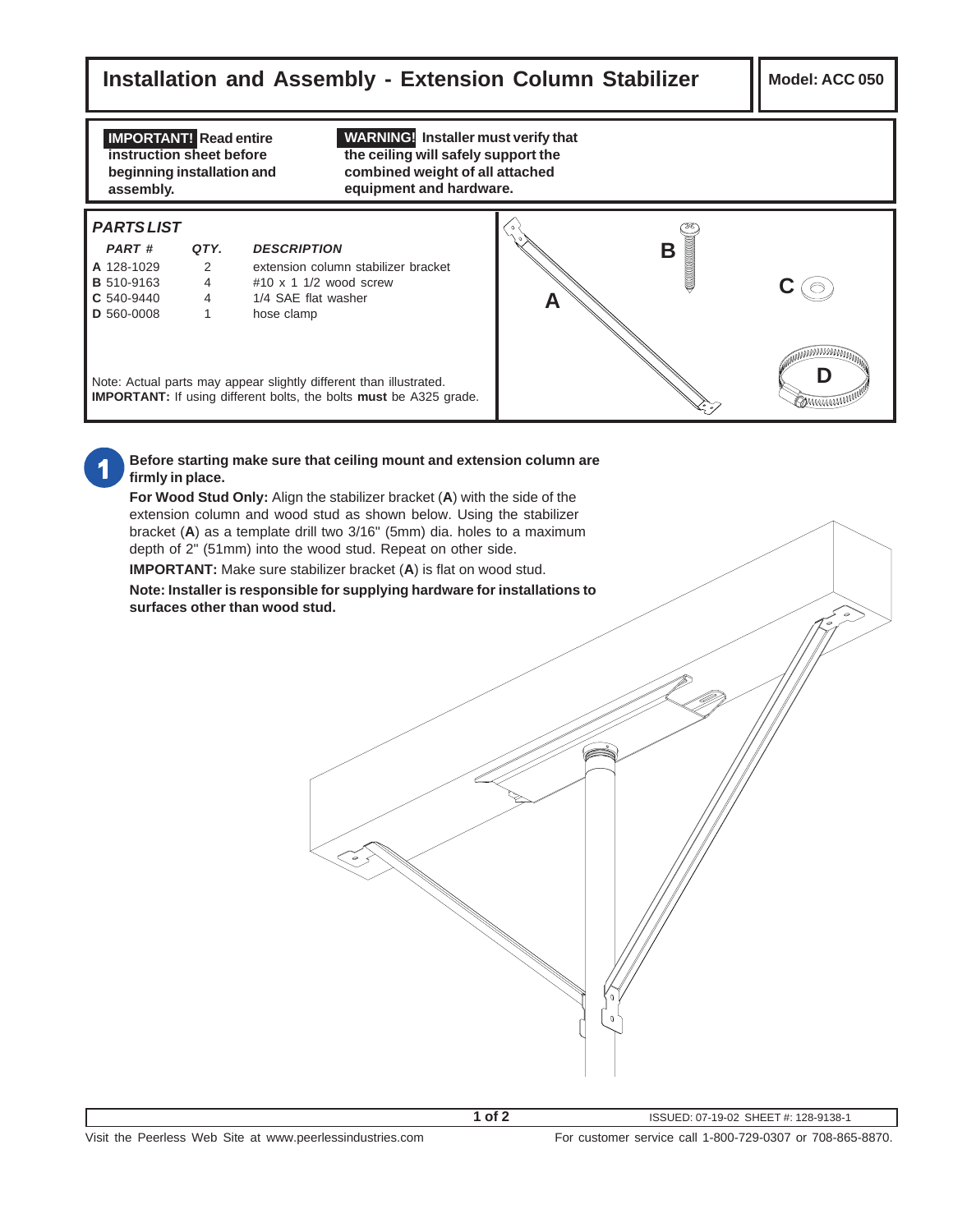## **Installation and Assembly - Extension Column Stabilizer | Model: ACC 050**

**IMPORTANT! Read entire instruction sheet before beginning installation and assembly.**

**WARNING! Installer must verify that the ceiling will safely support the combined weight of all attached equipment and hardware.**

## **PARTS LIST**

| <b>PART#</b>      | QTY. | <b>DESCRIPTION</b>                  |
|-------------------|------|-------------------------------------|
| A 128-1029        | 2    | extension column stabilizer bracket |
| <b>B</b> 510-9163 | 4    | $\#10 \times 11/2$ wood screw       |
| C 540-9440        | 4    | 1/4 SAE flat washer                 |
| D 560-0008        |      | hose clamp                          |
|                   |      |                                     |
|                   |      |                                     |



Note: Actual parts may appear slightly different than illustrated. **IMPORTANT:** If using different bolts, the bolts **must** be A325 grade.



## **Before starting make sure that ceiling mount and extension column are firmly in place.**

**For Wood Stud Only:** Align the stabilizer bracket (**A**) with the side of the extension column and wood stud as shown below. Using the stabilizer bracket (**A**) as a template drill two 3/16" (5mm) dia. holes to a maximum depth of 2" (51mm) into the wood stud. Repeat on other side.

**IMPORTANT:** Make sure stabilizer bracket (**A**) is flat on wood stud.

**Note: Installer is responsible for supplying hardware for installations to surfaces other than wood stud.**

**1 of 2**